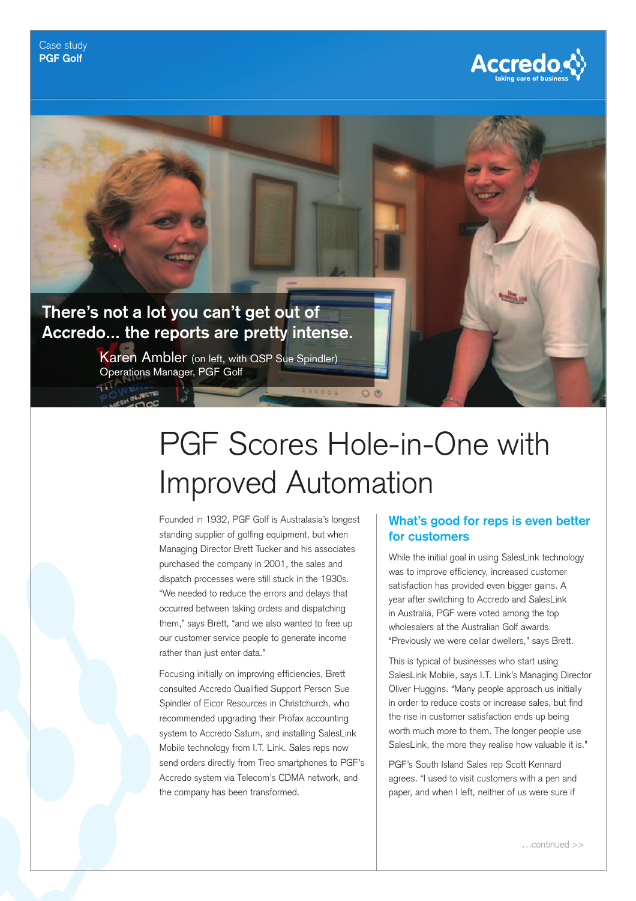



# PGF Scores Hole-in-One with Improved Automation

Founded in 1932, PGF Golf is Australasia's longest standing supplier of golfing equipment, but when Managing Director Brett Tucker and his associates purchased the company in 2001, the sales and dispatch processes were still stuck in the 1930s. "We needed to reduce the errors and delays that occurred between taking orders and dispatching them," says Brett, "and we also wanted to free up our customer service people to generate income rather than just enter data."

Focusing initially on improving efficiencies, Brett consulted Accredo Qualified Support Person Sue Spindler of Eicor Resources in Christchurch, who recommended upgrading their Profax accounting system to Accredo Saturn, and installing SalesLink Mobile technology from I.T. Link. Sales reps now send orders directly from Treo smartphones to PGF's Accredo system via Telecom's CDMA network, and the company has been transformed.

#### **What's good for reps is even better for customers**

While the initial goal in using SalesLink technology was to improve efficiency, increased customer satisfaction has provided even bigger gains. A year after switching to Accredo and SalesLink in Australia, PGF were voted among the top wholesalers at the Australian Golf awards. "Previously we were cellar dwellers," says Brett.

This is typical of businesses who start using SalesLink Mobile, says I.T. Link's Managing Director Oliver Huggins. "Many people approach us initially in order to reduce costs or increase sales, but find the rise in customer satisfaction ends up being worth much more to them. The longer people use SalesLink, the more they realise how valuable it is."

PGF's South Island Sales rep Scott Kennard agrees. "I used to visit customers with a pen and paper, and when I left, neither of us were sure if